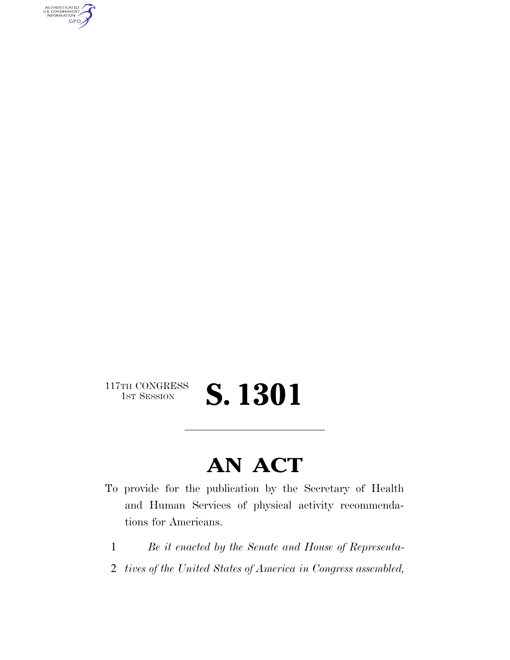AUTHENTICATED<br>U.S. GOVERNMENT<br>INFORMATION **GPO** 

117TH CONGRESS<br>1st Session

1ST SESSION **S. 1301** 

## **AN ACT**

- To provide for the publication by the Secretary of Health and Human Services of physical activity recommendations for Americans.
	- 1 *Be it enacted by the Senate and House of Representa-*
	- 2 *tives of the United States of America in Congress assembled,*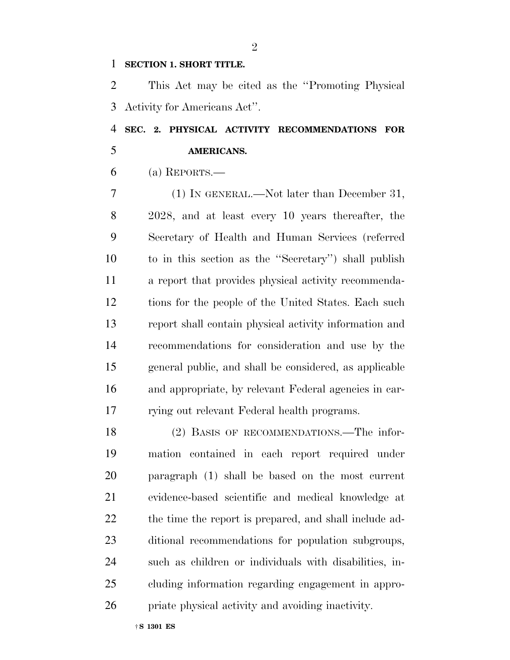## **SECTION 1. SHORT TITLE.**

 This Act may be cited as the ''Promoting Physical Activity for Americans Act''.

## **SEC. 2. PHYSICAL ACTIVITY RECOMMENDATIONS FOR AMERICANS.**

(a) REPORTS.—

 (1) IN GENERAL.—Not later than December 31, 2028, and at least every 10 years thereafter, the Secretary of Health and Human Services (referred to in this section as the ''Secretary'') shall publish a report that provides physical activity recommenda- tions for the people of the United States. Each such report shall contain physical activity information and recommendations for consideration and use by the general public, and shall be considered, as applicable and appropriate, by relevant Federal agencies in car-rying out relevant Federal health programs.

 (2) BASIS OF RECOMMENDATIONS.—The infor- mation contained in each report required under paragraph (1) shall be based on the most current evidence-based scientific and medical knowledge at 22 the time the report is prepared, and shall include ad- ditional recommendations for population subgroups, such as children or individuals with disabilities, in- cluding information regarding engagement in appro-priate physical activity and avoiding inactivity.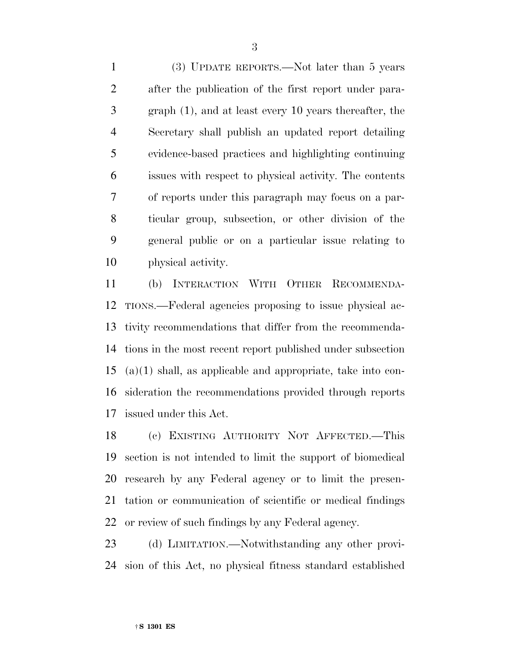(3) UPDATE REPORTS.—Not later than 5 years after the publication of the first report under para- graph (1), and at least every 10 years thereafter, the Secretary shall publish an updated report detailing evidence-based practices and highlighting continuing issues with respect to physical activity. The contents of reports under this paragraph may focus on a par- ticular group, subsection, or other division of the general public or on a particular issue relating to physical activity.

 (b) INTERACTION WITH OTHER RECOMMENDA- TIONS.—Federal agencies proposing to issue physical ac- tivity recommendations that differ from the recommenda- tions in the most recent report published under subsection (a)(1) shall, as applicable and appropriate, take into con- sideration the recommendations provided through reports issued under this Act.

 (c) EXISTING AUTHORITY NOT AFFECTED.—This section is not intended to limit the support of biomedical research by any Federal agency or to limit the presen- tation or communication of scientific or medical findings or review of such findings by any Federal agency.

 (d) LIMITATION.—Notwithstanding any other provi-sion of this Act, no physical fitness standard established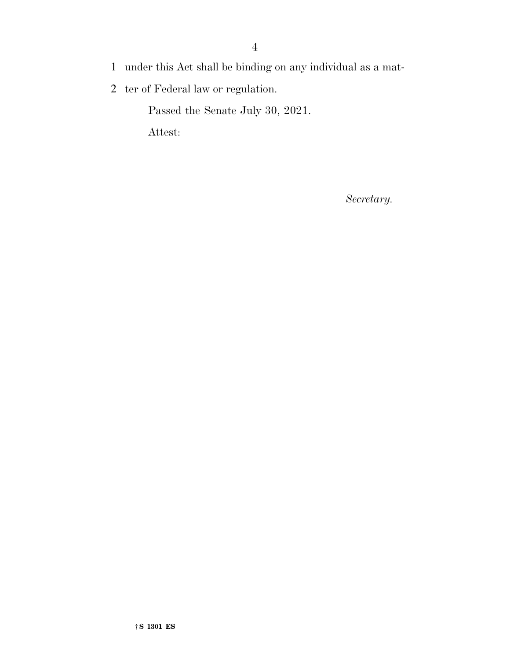- 1 under this Act shall be binding on any individual as a mat-
- 2 ter of Federal law or regulation.

Passed the Senate July 30, 2021.

Attest:

*Secretary.*